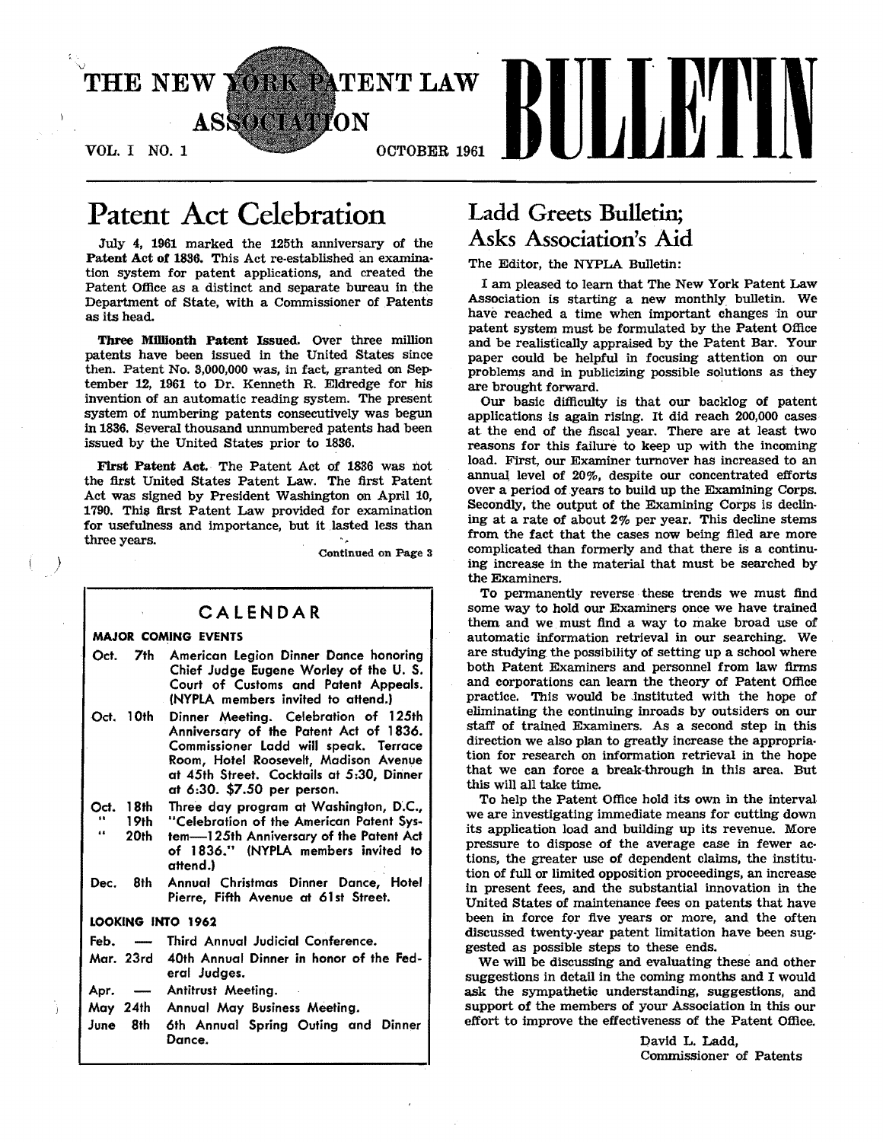

# Patent Act Celebration

July 4, 1961 marked the 125th anniversary of the Patent Act of 1836. This Act re·established an examina· tion system for patent applications, and created the Patent Office as a distinct and separate bureau in the Department of State, with a Commissioner of Patents as its head.

Three Millionth Patent Issued. OVer three million patents have been issued in the United States since then. Patent No. 3,000,000 was, in fact, granted on September 12, 1961 to Dr. Kenneth R. Eldredge for his invention of an automatic reading system. The present system of numbering patents consecutively was begun in 1836. Several thousand unnumbered patents had been issued by the United States prior to 1836.

First Patent Act. The Patent Act of 1836 was not the first United States Patent Law. The first Patent Act was signed by President Washington on April 10, 1790. This first Patent Law provided for examination for usefulness and importance, but it lasted less than three years.  $\kappa_{\rm m}$ 

Continued on Page 3

## CALENDAR

### MAJOR COMING EVENTS

)

- Oct. 7th American legion Dinner Dance honoring Chief Judge Eugene Worley of the U. S. Court of Customs and Patent Appeals. (NYPLA members invited to attend.)
- Oct. 10th Dinner Meeting. Celebration of 125th Anniversary of the Patent Act of 1836. Commissioner ladd will speak. Terrace Room, Hotel Roosevelt, Madison Avenue at 45th Street. Cocktails at 5:30, Dinner at 6:30. \$7.50 per person.
- Three day program at Washington, D'.C.,
- Oct. 18th<br>
.. 19th<br>
.. 19th 20th "Celebration of the American Patent System-125th Anniversary of the Patent Act of 1836." (NYPLA members invited to attend.)
- Dec. 8th Annual Christmas Dinner Dance, Hotel Pierre, Fifth Avenue at 61st Street.

### LOOKING INTO 1962

- Feb. Third Annual Judicial Conference.
- Mar. 23rd 40th Annual Dinner in honor of the Federal Judges.
- Apr. Antitrust Meeting.
- May 24th Annual May Business Meeting.
- June 8th 6th Annual Spring Outing and Dinner Dance.

# Ladd Greets Bulletin; Asks Association's Aid

The Editor, the NYPLA Bulletin:

I am pleased to learn that The New York Patent Law Association is starting a new monthly bulletin. We have reached a time when important changes 'in our patent system must be formulated by the Patent Office and be realistically appraised by the Patent Bar. Your paper could be helpful in focusing attention on our problems and in publicizing possible solutions as they are brought forward. '

Our basic difficulty is that our backlog of patent applications Is again rising. It did reach 200,000 cases at the end of the fiscal year. There are at least two reasons for this failure to keep up with the incoming load. First, our Examiner turnover has increased to an annual, level of 20%, despite our concentrated efforts over a period of years to build up the Examining Corps. Secondly, the output of the Examining Corps is declin· ing at a rate of about 2% per year. This decline stems from the fact that the cases now being filed are more complicated than formerly and that there is a continuing increase in the material that must be searched by the Examiners.

To permanently reverse these trends we must find some way to hold our Examiners once we have trained them and we must find a way to make broad use of automatic information retrieval in our searching. We are studying the possibility of setting up a school where both Patent Examiners and personnel from law firms and corporations can learn the theory of Patent Office practice. This would be instituted with the hope of eliminating the continuing inroads by outsiders on our staff of trained Examiners. As a second step in this direction we also pian to greatly increase the appropria. tion for research on information retrieval in the hope that we can force a break·through in this area. But this will all take time.

To help the Patent Office hold its own in the interval we are investigating immediate means for cutting down its application load and building up its revenue. More pressure to dispose of the average case in fewer ac· tions, the greater use of dependent claims, the institu· tion of full or limited opposition proceedings, an increase in present fees, and the substantial innovation in the United States of maintenance fees on patents that have been in force for five years or more, and the often discussed twenty·year patent limitation have been suggested as possible steps to these ends.

We will be discussing and evaluating these and other suggestions in detail in the coming months and I would ask the sympathetic Understanding, suggestions, and support of the members of your Association in this our effort to improve the effectiveness of the Patent Office.

> David L. Ladd, Commissioner of Patents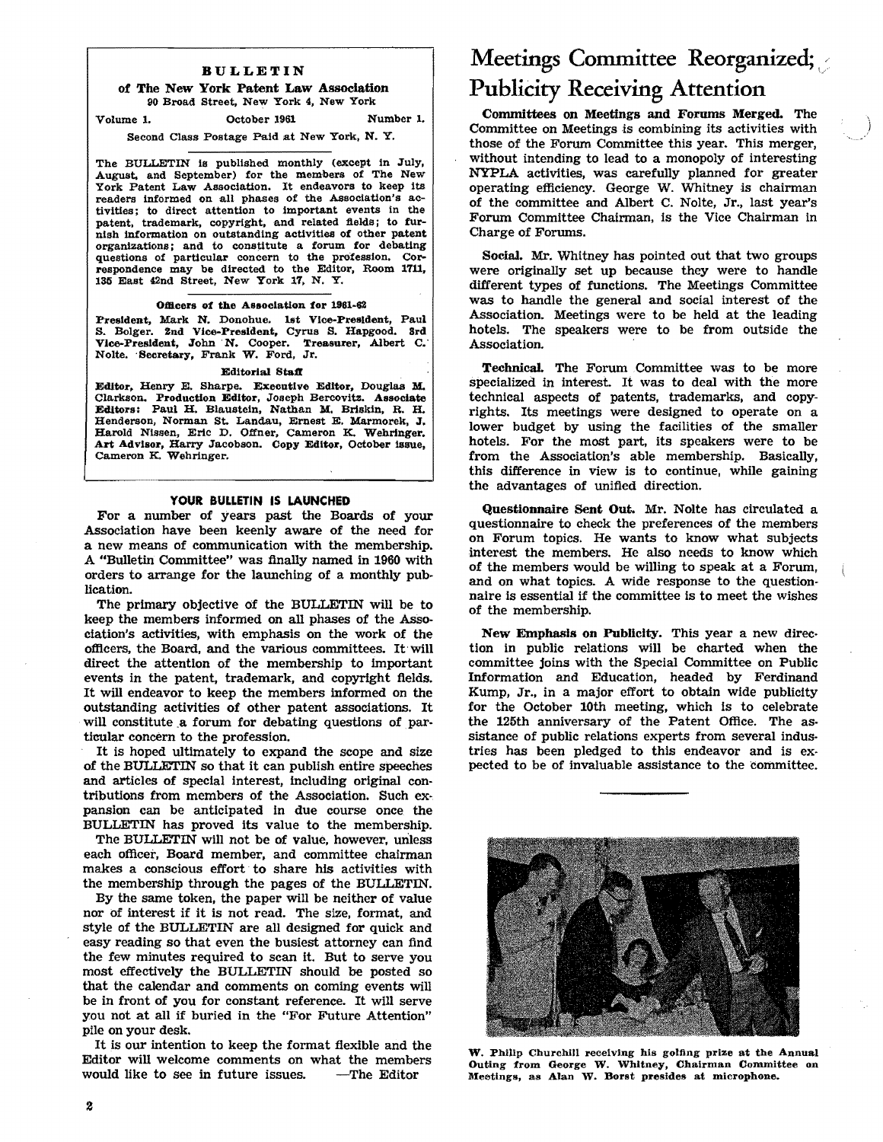### BULLETIN

#### of The New York Patent Law Association 90 Broad Street, New York 4, New York

Volume 1. October 1961 Number 1.

### Second Class Postage Paid at New York, N. Y.

The BULLETIN is published monthly (except in July, August, and September) for the members of The New York Patent Law Association. It endeavors to keep its readers informed on all phases of the Association's activities; to direct attention to important events in the patent, trademark, copyright, and related fields; to furnish information on outstanding activities of other patent organizations; and to constitute a forum for debating questions of particular concern to the profession. Correspondence may be directed to the Editor, Room 1711, 135 East 42nd Street. New York 17, N. Y.

#### Omcers of the Association for 1881-62

President, Mark N. Donohue. lst Vice-President. Paul S. Bolger. 2nd Vice-President, Cyrus S. Hapgood. 3rd Vice-President, John N. Cooper. Treasurer, Albert C. Nolte. 'Secretary, Frank W. Ford, Jr.

#### Editorial Staff

Editor, Henry E. Sharpe. Executive Editor, Douglas M. Clarkson. Production Editor, Joseph Bercovitz. Associate Editors: Paul H. Blaustein, Nathan M. Briskin, R. H. Henderson, Norman St. Landau, Ernest E. Marmorek, J. Harold Nissen, Eric D. Offner, Cameron K. Wehringer. Art Advisor, Harry Jacobson. Copy Editor, October issue, Cameron K. Wehringer.

### YOUR BULLETIN IS LAUNCHED

For a number of years past the Boards of your Association have been keenly aware of the need for a new means of communication with the membership. A "Bulletin Committee" was finally named in 1960 with orders to arrange for the launching of a monthly pub· lication.

The primary objective of the BULLETIN will be to keep the members informed on all phases of the Association's activities, with emphasis on the work of the otflcers, the Board, and the various committees. It will direct the attention of the membership to important events in the patent, trademark, and copyright flelds. It will endeavor to keep the members informed on the outstanding activities of other patent associations. It will constitute a forum for debating questions of particular concern to the profession.

It is hoped ultimately to expand the scope and size of the BULLETIN so that it can publish entire speeches and articles of special interest, including original contributions from members of the Association. Such ex·. pansion can be anticipated in due course once the BULLETIN has proved its value to the memberShip.

The BULLETIN will not be of value, however, unless each otflcer, Board member, and committee chairman makes a conscious effort to share his activities with the membership through the pages of the BULLETIN.

By the same token, the paper will be neither of value nor of interest if it is not read. The size, format, and style of the BULLETIN are all designed for quick and easy reading so that even the busiest attorney can find the few minutes required to scan it. But to serve you most effectively the BULLETIN should be posted so that the calendar and comments on coming events will be in front of you for constant reference. It will serve you not at all if buried in the "For Future Attention" pile on your desk.

It is our intention to keep the format flexible and the Editor will welcome comments on what the members would like to see in future issues.  $\qquad$ -The Editor would like to see in future issues.

# Meetings Committee Reorganized; Publicity Receiving Attention

Committees on Meetings and Forums Merged. The Committee on Meetings is combining its activities with those of the Forum Committee this year. This merger, without intending to lead to a monopoly of interesting NYPLA activities, was carefully planned for greater operating etflciency. George W. Whitney is chairman of the committee and Albert C. Nolte, Jr., last year's Forum Committee Chairman, is the Vice Chairman in Charge of Forums.

Social. Mr. Whitney has pointed out that two groups were originally set up because they were to handle different types of functions. The Meetings Committee was to handle the general and social interest of the Association. Meetings were to be held at the leading hotels. The speakers were to be from outside the Association.

Technical. The Forum .Committee was to be more specialized in interest. It was to deal with the more technical aspects of patents, trademarks, and copyrights. Its meetings were designed to operate on a lower budget by using the facilities of the smaller hotels. For the most part, its speakers were to be from the Association's able membership. Basically, this difference in view is to continue, while gaining the advantages of unified direction.

Questionnaire Sent Out. Mr. Nolte has circulated a questionnaire to check the preferences of the members on Forum topics. He wants to know what subjects interest the members. He also needs to know which of the members would be willing to speak at a Forum, and on what topics. A wide response to the questionnaire is essential if the committee is to meet the wishes of the membership.

New Emphasis on Publicity. This year a new direc· tion in public relations will be charted when the committee joins with the Special Committee on Public Information and Education, headed by Ferdinand Kump, Jr., in a major effort to obtain wide publicity for the October 10th meeting, which is to celebrate the 125th anniversary of the Patent Office. The assistance of public relations experts from several industries has been pledged to this endeavor and is expected to be of Invaluable assistance to the committee.



W. Philip Churchill receiving his golfing prize at the Annual Outing from George W. Whitney, Chairman Committee on Meetings, as Alan W. Borst presides at microphone.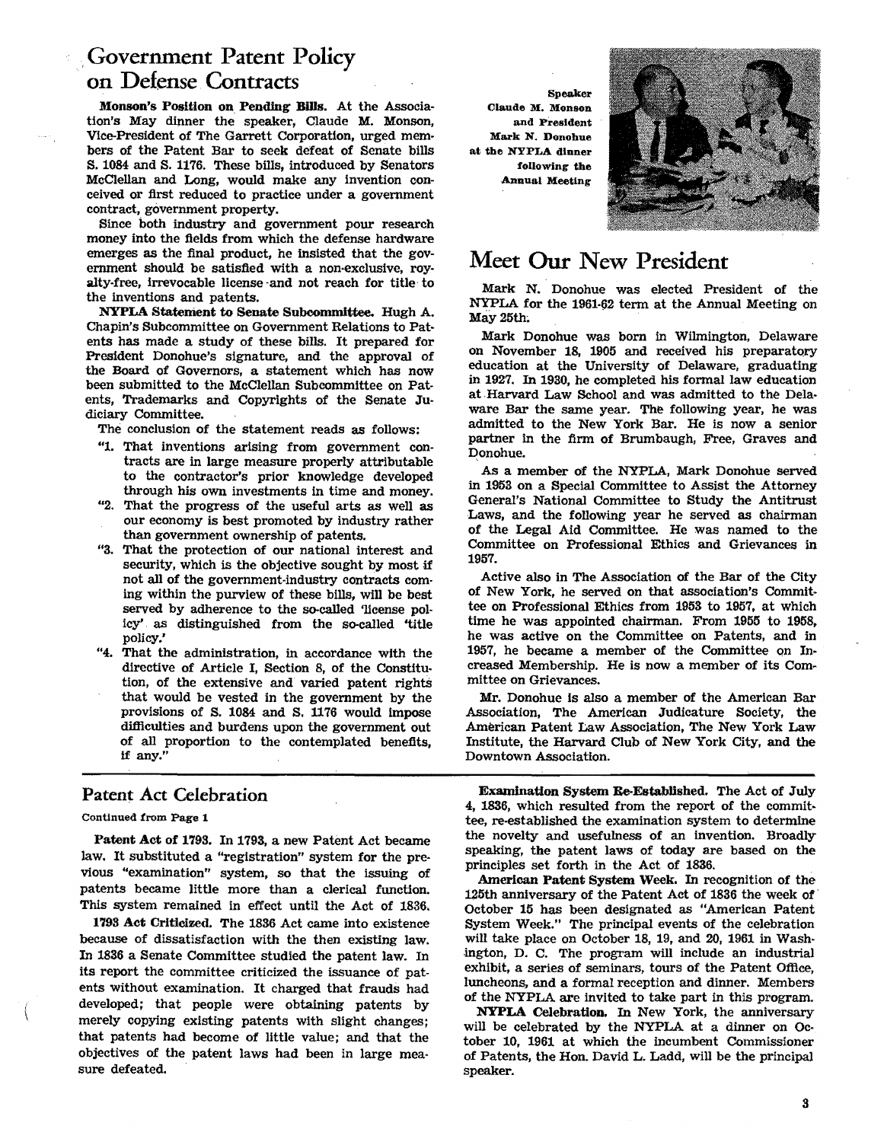# ,Government Patent Policy on Defense Contracts

Monson's Position on Pending Bllls. At the Association's May dinner the speaker, Claude M. Monson, Vice-President of The Garrett Corporation, urged members of the Patent Bar to seek defeat of Senate bills S. 1084 and S. 1176. These bills, introduced by senators McClellan and Long, would make any invention conceived or first reduced to practice under a government contract, government property.

Since both industry and government pour research money into the fields from which the defense hardware emerges as the final product, he insisted that the government should be satisfied with a non-exclusive, royalty-free, irrevocable license -and not reach for title to the inventions and patents.

NYPLA Statement to Senate Subcommittee. Hugh A. Chapin's Subcommittee on Government Relations to Pat· ents has made a study of these bills. It prepared for President Donohue's signature, and the approval of the Board of Governors, a statement which has now been submitted to the McClellan Subcommittee on Pat· ents, Trademarks and Copyrights of the Senate Judiciary Committee.

The conclusion of the statement reads as follows:

- "1. That inventions arising from government con· tracts are in large measure properly attributable to the contractor's prior knowledge developed through his own investments in time and money.
- "2. That the progress of the useful arts as well as our economy is best promoted by industry rather than government ownership of patents.
- "3. That the protection of our national interest and security, which is the objective sought by most if not all of the government·industry contracts com· ing within the purview of these bills, will be best served by adherence to the so-called 'license policy' as distinguished from the so-called 'title policy;
- "4. That the administration, in accordance with the directive of Article I, Section 8, of the Constitution, of the extensive and varied patent rights that would be vested in the government by the provisIons of S. 1084 and S. 1176 would impose difficulties and burdens upon the government out of all proportion to the contemplated benefits, if any."

## Patent Act Celebration

### Continued from Page 1

Patent Act of 179S. In 1793, a new Patent Act became law. It substituted a "registration" system for the pre· vious "examination" system, so that the issuing of patents became little more than a clerical function. This system remained in effect until the Act of 1836.

1798 Act Criticized. The 1886 Act came into existence because of dissatisfaction with the then existing law. In 1836 a Senate Committee studied the patent law. In its report the committee criticized the issuance of patents without examination. It charged that frauds had developed; that people were obtaining patents by merely copying existing patents with slight changes; that patents had become of little value; and that the objectives of the patent laws had been in large measure defeated.

**Speaker** Claude M. Monson and President Mark N. Donohue at the NYPLA dinner following the Annual Meeting



# Meet Our New President

Mark N. Donohue was elected President of the NYPLA for the 1961-62 term at the Annual Meeting on May 25th.

Mark Donohue was born in Wilmington, Delaware on November 18, 1905 and received his preparatory education at the University of Delaware, graduating in 1927. In 1930, he completed his formal law education at Harvard Law School and was admitted to the Delaware Bar the same year. The following year, he was admitted to the New York Bar. He is now a senior partner in the firm of Brumbaugh, Free, Graves and Donohue.

As a member of the NYPLA, Mark Donohue served in 1953 on a Special Committee to ASSist the Attorney General's National Committee to Study the Antitrust Laws, and the following year he served as chairman of the Legal Aid Committee. He was named to the Committee on Professional Ethics and Grievances in 1957.

Active also in The Association of the Bar of the City of New York, he served on that association's Commit· tee on Professional Ethics from 1958 to 1957, at which time he was appointed chairman. From 1955 to 1958. he was active on the Committee on Patents, and in 1957, he became a member of the Committee on Increased Membership. He is now a member of its Committee on Grievances.

Mr. Donohue Is also a member of the American Bar Association, The American Judicature Society, the American Patent Law Association, The New York Law Institute, the Harvard Club of New York City, and the Downtown Association.

Examination System Re-Established. The Act of July 4, 1836, which resulted from the report of the commit· tee, re-established the examination system to determine the novelty and usefulness of an invention. Broadly speaking, the patent laws of today are based on the principles set forth in the Act of 1836.

American Patent System Week. In recognition of the 125th anniversary of the Patent Act of 1836 the week of· October 15 has been designated as "American Patent System Week." The principal events of the celebration will take place on October 18, 19, and 20, 1961 in Wash· .ington, D. C. The program will include an industrial exhibit, a series of seminars, tours of the Patent Office, luncheons, and a formal reception and dinner. Members of the NYPLA are invited to take part in this program.

NYPLA Celebration. In New York, the anniversary will be celebrated by the NYPLA at a dinner on October 10, 1961 at which the incumbent Commissioner of Patents, the Hon. David L. Ladd, will be the principal speaker.